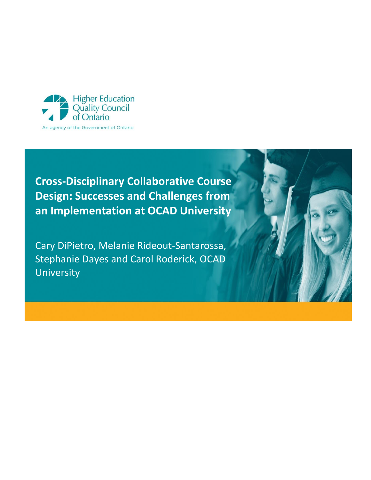

**Cross-Disciplinary Collaborative Course Design: Successes and Challenges from an Implementation at OCAD University**

Cary DiPietro, Melanie Rideout-Santarossa, Stephanie Dayes and Carol Roderick, OCAD University

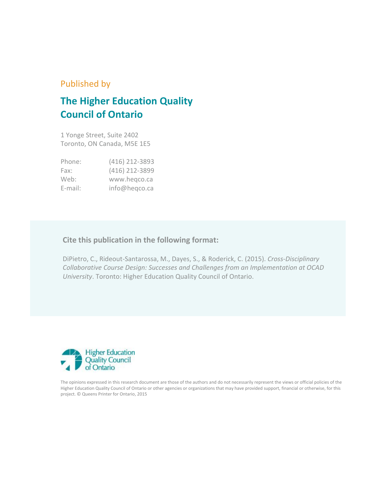### Published by

# **The Higher Education Quality Council of Ontario**

1 Yonge Street, Suite 2402 Toronto, ON Canada, M5E 1E5

| Phone:  | (416) 212-3893 |
|---------|----------------|
| Fax:    | (416) 212-3899 |
| Web:    | www.hegco.ca   |
| E-mail: | info@heqco.ca  |

### **Cite this publication in the following format:**

DiPietro, C., Rideout-Santarossa, M., Dayes, S., & Roderick, C. (2015). *Cross-Disciplinary Collaborative Course Design: Successes and Challenges from an Implementation at OCAD University*. Toronto: Higher Education Quality Council of Ontario.



The opinions expressed in this research document are those of the authors and do not necessarily represent the views or official policies of the Higher Education Quality Council of Ontario or other agencies or organizations that may have provided support, financial or otherwise, for this project. © Queens Printer for Ontario, 2015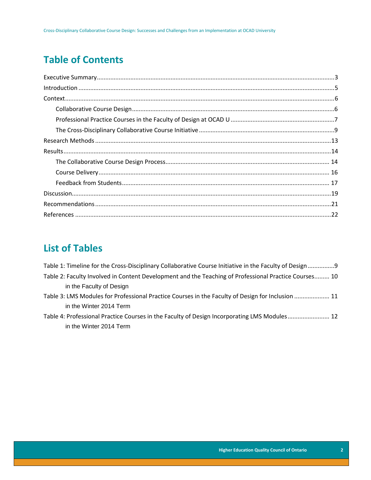## **Table of Contents**

## **List of Tables**

| Table 1: Timeline for the Cross-Disciplinary Collaborative Course Initiative in the Faculty of Design9 |        |
|--------------------------------------------------------------------------------------------------------|--------|
| Table 2: Faculty Involved in Content Development and the Teaching of Professional Practice Courses 10  |        |
| in the Faculty of Design                                                                               |        |
| Table 3: LMS Modules for Professional Practice Courses in the Faculty of Design for Inclusion  11      |        |
| in the Winter 2014 Term                                                                                |        |
| Table A. Duafaastanal Duaattaa Carroosa tu Aba Faarikii af Daatan Inaannanattu al NAC Maaliilaa.       | $\sim$ |

[Table 4: Professional Practice Courses in the Faculty of Design Incorporating LMS Modules.........................](#page-12-0) 12 in the Winter 2014 Term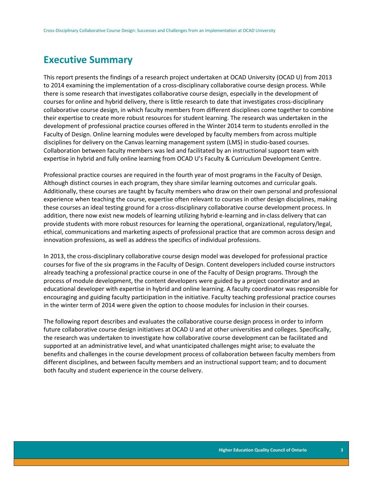### <span id="page-3-0"></span>**Executive Summary**

This report presents the findings of a research project undertaken at OCAD University (OCAD U) from 2013 to 2014 examining the implementation of a cross-disciplinary collaborative course design process. While there is some research that investigates collaborative course design, especially in the development of courses for online and hybrid delivery, there is little research to date that investigates cross-disciplinary collaborative course design, in which faculty members from different disciplines come together to combine their expertise to create more robust resources for student learning. The research was undertaken in the development of professional practice courses offered in the Winter 2014 term to students enrolled in the Faculty of Design. Online learning modules were developed by faculty members from across multiple disciplines for delivery on the Canvas learning management system (LMS) in studio-based courses. Collaboration between faculty members was led and facilitated by an instructional support team with expertise in hybrid and fully online learning from OCAD U's Faculty & Curriculum Development Centre.

Professional practice courses are required in the fourth year of most programs in the Faculty of Design. Although distinct courses in each program, they share similar learning outcomes and curricular goals. Additionally, these courses are taught by faculty members who draw on their own personal and professional experience when teaching the course, expertise often relevant to courses in other design disciplines, making these courses an ideal testing ground for a cross-disciplinary collaborative course development process. In addition, there now exist new models of learning utilizing hybrid e-learning and in-class delivery that can provide students with more robust resources for learning the operational, organizational, regulatory/legal, ethical, communications and marketing aspects of professional practice that are common across design and innovation professions, as well as address the specifics of individual professions.

In 2013, the cross-disciplinary collaborative course design model was developed for professional practice courses for five of the six programs in the Faculty of Design. Content developers included course instructors already teaching a professional practice course in one of the Faculty of Design programs. Through the process of module development, the content developers were guided by a project coordinator and an educational developer with expertise in hybrid and online learning. A faculty coordinator was responsible for encouraging and guiding faculty participation in the initiative. Faculty teaching professional practice courses in the winter term of 2014 were given the option to choose modules for inclusion in their courses.

The following report describes and evaluates the collaborative course design process in order to inform future collaborative course design initiatives at OCAD U and at other universities and colleges. Specifically, the research was undertaken to investigate how collaborative course development can be facilitated and supported at an administrative level, and what unanticipated challenges might arise; to evaluate the benefits and challenges in the course development process of collaboration between faculty members from different disciplines, and between faculty members and an instructional support team; and to document both faculty and student experience in the course delivery.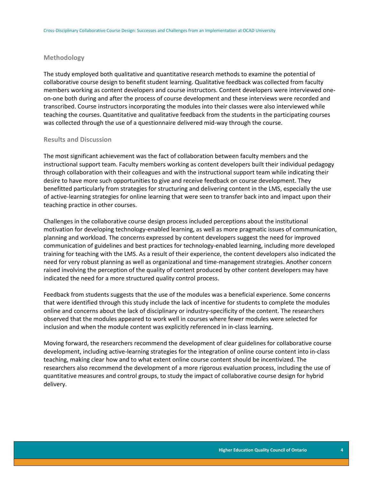#### **Methodology**

The study employed both qualitative and quantitative research methods to examine the potential of collaborative course design to benefit student learning. Qualitative feedback was collected from faculty members working as content developers and course instructors. Content developers were interviewed oneon-one both during and after the process of course development and these interviews were recorded and transcribed. Course instructors incorporating the modules into their classes were also interviewed while teaching the courses. Quantitative and qualitative feedback from the students in the participating courses was collected through the use of a questionnaire delivered mid-way through the course.

### **Results and Discussion**

The most significant achievement was the fact of collaboration between faculty members and the instructional support team. Faculty members working as content developers built their individual pedagogy through collaboration with their colleagues and with the instructional support team while indicating their desire to have more such opportunities to give and receive feedback on course development. They benefitted particularly from strategies for structuring and delivering content in the LMS, especially the use of active-learning strategies for online learning that were seen to transfer back into and impact upon their teaching practice in other courses.

Challenges in the collaborative course design process included perceptions about the institutional motivation for developing technology-enabled learning, as well as more pragmatic issues of communication, planning and workload. The concerns expressed by content developers suggest the need for improved communication of guidelines and best practices for technology-enabled learning, including more developed training for teaching with the LMS. As a result of their experience, the content developers also indicated the need for very robust planning as well as organizational and time-management strategies. Another concern raised involving the perception of the quality of content produced by other content developers may have indicated the need for a more structured quality control process.

Feedback from students suggests that the use of the modules was a beneficial experience. Some concerns that were identified through this study include the lack of incentive for students to complete the modules online and concerns about the lack of disciplinary or industry-specificity of the content. The researchers observed that the modules appeared to work well in courses where fewer modules were selected for inclusion and when the module content was explicitly referenced in in-class learning.

Moving forward, the researchers recommend the development of clear guidelines for collaborative course development, including active-learning strategies for the integration of online course content into in-class teaching, making clear how and to what extent online course content should be incentivized. The researchers also recommend the development of a more rigorous evaluation process, including the use of quantitative measures and control groups, to study the impact of collaborative course design for hybrid delivery.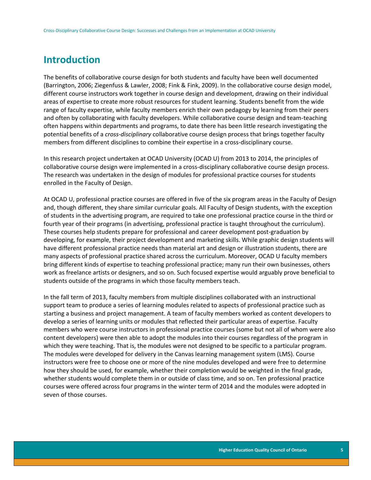### <span id="page-5-0"></span>**Introduction**

The benefits of collaborative course design for both students and faculty have been well documented (Barrington, 2006; Ziegenfuss & Lawler, 2008; Fink & Fink, 2009). In the collaborative course design model, different course instructors work together in course design and development, drawing on their individual areas of expertise to create more robust resources for student learning. Students benefit from the wide range of faculty expertise, while faculty members enrich their own pedagogy by learning from their peers and often by collaborating with faculty developers. While collaborative course design and team-teaching often happens within departments and programs, to date there has been little research investigating the potential benefits of a *cross-disciplinary* collaborative course design process that brings together faculty members from different disciplines to combine their expertise in a cross-disciplinary course.

In this research project undertaken at OCAD University (OCAD U) from 2013 to 2014, the principles of collaborative course design were implemented in a cross-disciplinary collaborative course design process. The research was undertaken in the design of modules for professional practice courses for students enrolled in the Faculty of Design.

At OCAD U, professional practice courses are offered in five of the six program areas in the Faculty of Design and, though different, they share similar curricular goals. All Faculty of Design students, with the exception of students in the advertising program, are required to take one professional practice course in the third or fourth year of their programs (in advertising, professional practice is taught throughout the curriculum). These courses help students prepare for professional and career development post-graduation by developing, for example, their project development and marketing skills. While graphic design students will have different professional practice needs than material art and design or illustration students, there are many aspects of professional practice shared across the curriculum. Moreover, OCAD U faculty members bring different kinds of expertise to teaching professional practice; many run their own businesses, others work as freelance artists or designers, and so on. Such focused expertise would arguably prove beneficial to students outside of the programs in which those faculty members teach.

In the fall term of 2013, faculty members from multiple disciplines collaborated with an instructional support team to produce a series of learning modules related to aspects of professional practice such as starting a business and project management. A team of faculty members worked as content developers to develop a series of learning units or modules that reflected their particular areas of expertise. Faculty members who were course instructors in professional practice courses (some but not all of whom were also content developers) were then able to adopt the modules into their courses regardless of the program in which they were teaching. That is, the modules were not designed to be specific to a particular program. The modules were developed for delivery in the Canvas learning management system (LMS). Course instructors were free to choose one or more of the nine modules developed and were free to determine how they should be used, for example, whether their completion would be weighted in the final grade, whether students would complete them in or outside of class time, and so on. Ten professional practice courses were offered across four programs in the winter term of 2014 and the modules were adopted in seven of those courses.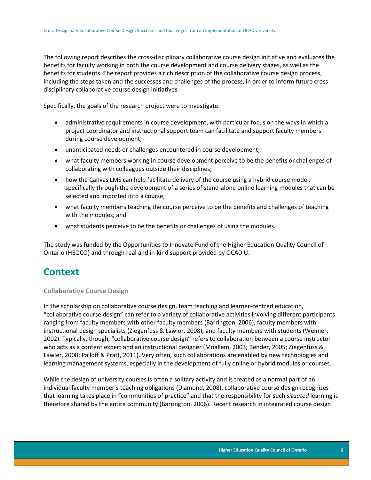The following report describes the cross-disciplinary collaborative course design initiative and evaluates the benefits for faculty working in both the course development and course delivery stages, as well as the benefits for students. The report provides a rich description of the collaborative course design process, including the steps taken and the successes and challenges of the process, in order to inform future crossdisciplinary collaborative course design initiatives.

Specifically, the goals of the research project were to investigate:

- administrative requirements in course development, with particular focus on the ways in which a project coordinator and instructional support team can facilitate and support faculty members during course development;
- unanticipated needs or challenges encountered in course development;
- what faculty members working in course development perceive to be the benefits or challenges of collaborating with colleagues outside their disciplines;
- how the Canvas LMS can help facilitate delivery of the course using a hybrid course model, specifically through the development of a series of stand-alone online learning modules that can be selected and imported into a course;
- what faculty members teaching the course perceive to be the benefits and challenges of teaching with the modules; and
- what students perceive to be the benefits or challenges of using the modules.

The study was funded by the Opportunities to Innovate Fund of the Higher Education Quality Council of Ontario (HEQCO) and through real and in-kind support provided by OCAD U.

### <span id="page-6-0"></span>**Context**

#### <span id="page-6-1"></span>**Collaborative Course Design**

In the scholarship on collaborative course design, team teaching and learner-centred education, "collaborative course design" can refer to a variety of collaborative activities involving different participants ranging from faculty members with other faculty members (Barrington, 2006), faculty members with instructional design specialists (Ziegenfuss & Lawlor, 2008), and faculty members with students (Weimer, 2002). Typically, though, "collaborative course design" refers to collaboration between a course instructor who acts as a content expert and an instructional designer (Moallem, 2003; Bender, 2005; Ziegenfuss & Lawler, 2008; Palloff & Pratt, 2011). Very often, such collaborations are enabled by new technologies and learning management systems, especially in the development of fully online or hybrid modules or courses.

While the design of university courses is often a solitary activity and is treated as a normal part of an individual faculty member's teaching obligations (Diamond, 2008), collaborative course design recognizes that learning takes place in "communities of practice" and that the responsibility for such *situated* learning is therefore shared by the entire community (Barrington, 2006). Recent research in integrated course design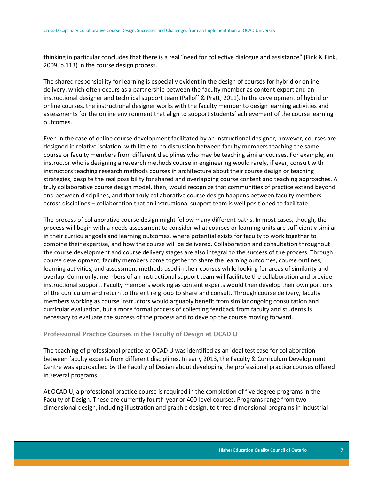thinking in particular concludes that there is a real "need for collective dialogue and assistance" (Fink & Fink, 2009, p.113) in the course design process.

The shared responsibility for learning is especially evident in the design of courses for hybrid or online delivery, which often occurs as a partnership between the faculty member as content expert and an instructional designer and technical support team (Palloff & Pratt, 2011). In the development of hybrid or online courses, the instructional designer works with the faculty member to design learning activities and assessments for the online environment that align to support students' achievement of the course learning outcomes.

Even in the case of online course development facilitated by an instructional designer, however, courses are designed in relative isolation, with little to no discussion between faculty members teaching the same course or faculty members from different disciplines who may be teaching similar courses. For example, an instructor who is designing a research methods course in engineering would rarely, if ever, consult with instructors teaching research methods courses in architecture about their course design or teaching strategies, despite the real possibility for shared and overlapping course content and teaching approaches. A truly collaborative course design model, then, would recognize that communities of practice extend beyond and between disciplines, and that truly collaborative course design happens between faculty members across disciplines – collaboration that an instructional support team is well positioned to facilitate.

The process of collaborative course design might follow many different paths. In most cases, though, the process will begin with a needs assessment to consider what courses or learning units are sufficiently similar in their curricular goals and learning outcomes, where potential exists for faculty to work together to combine their expertise, and how the course will be delivered. Collaboration and consultation throughout the course development and course delivery stages are also integral to the success of the process. Through course development, faculty members come together to share the learning outcomes, course outlines, learning activities, and assessment methods used in their courses while looking for areas of similarity and overlap. Commonly, members of an instructional support team will facilitate the collaboration and provide instructional support. Faculty members working as content experts would then develop their own portions of the curriculum and return to the entire group to share and consult. Through course delivery, faculty members working as course instructors would arguably benefit from similar ongoing consultation and curricular evaluation, but a more formal process of collecting feedback from faculty and students is necessary to evaluate the success of the process and to develop the course moving forward.

### <span id="page-7-0"></span>**Professional Practice Courses in the Faculty of Design at OCAD U**

The teaching of professional practice at OCAD U was identified as an ideal test case for collaboration between faculty experts from different disciplines. In early 2013, the Faculty & Curriculum Development Centre was approached by the Faculty of Design about developing the professional practice courses offered in several programs.

At OCAD U, a professional practice course is required in the completion of five degree programs in the Faculty of Design. These are currently fourth-year or 400-level courses. Programs range from twodimensional design, including illustration and graphic design, to three-dimensional programs in industrial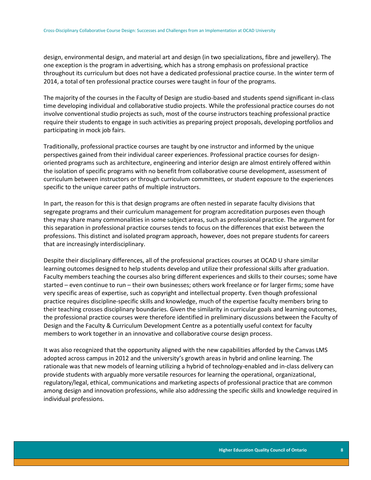design, environmental design, and material art and design (in two specializations, fibre and jewellery). The one exception is the program in advertising, which has a strong emphasis on professional practice throughout its curriculum but does not have a dedicated professional practice course. In the winter term of 2014, a total of ten professional practice courses were taught in four of the programs.

The majority of the courses in the Faculty of Design are studio-based and students spend significant in-class time developing individual and collaborative studio projects. While the professional practice courses do not involve conventional studio projects as such, most of the course instructors teaching professional practice require their students to engage in such activities as preparing project proposals, developing portfolios and participating in mock job fairs.

Traditionally, professional practice courses are taught by one instructor and informed by the unique perspectives gained from their individual career experiences. Professional practice courses for designoriented programs such as architecture, engineering and interior design are almost entirely offered within the isolation of specific programs with no benefit from collaborative course development, assessment of curriculum between instructors or through curriculum committees, or student exposure to the experiences specific to the unique career paths of multiple instructors.

In part, the reason for this is that design programs are often nested in separate faculty divisions that segregate programs and their curriculum management for program accreditation purposes even though they may share many commonalities in some subject areas, such as professional practice. The argument for this separation in professional practice courses tends to focus on the differences that exist between the professions. This distinct and isolated program approach, however, does not prepare students for careers that are increasingly interdisciplinary.

Despite their disciplinary differences, all of the professional practices courses at OCAD U share similar learning outcomes designed to help students develop and utilize their professional skills after graduation. Faculty members teaching the courses also bring different experiences and skills to their courses; some have started – even continue to run – their own businesses; others work freelance or for larger firms; some have very specific areas of expertise, such as copyright and intellectual property. Even though professional practice requires discipline-specific skills and knowledge, much of the expertise faculty members bring to their teaching crosses disciplinary boundaries. Given the similarity in curricular goals and learning outcomes, the professional practice courses were therefore identified in preliminary discussions between the Faculty of Design and the Faculty & Curriculum Development Centre as a potentially useful context for faculty members to work together in an innovative and collaborative course design process.

It was also recognized that the opportunity aligned with the new capabilities afforded by the Canvas LMS adopted across campus in 2012 and the university's growth areas in hybrid and online learning. The rationale was that new models of learning utilizing a hybrid of technology-enabled and in-class delivery can provide students with arguably more versatile resources for learning the operational, organizational, regulatory/legal, ethical, communications and marketing aspects of professional practice that are common among design and innovation professions, while also addressing the specific skills and knowledge required in individual professions.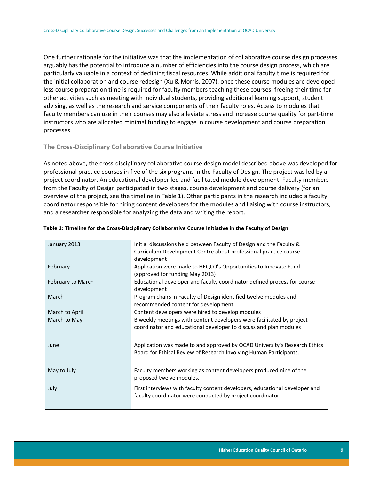One further rationale for the initiative was that the implementation of collaborative course design processes arguably has the potential to introduce a number of efficiencies into the course design process, which are particularly valuable in a context of declining fiscal resources. While additional faculty time is required for the initial collaboration and course redesign (Xu & Morris, 2007), once these course modules are developed less course preparation time is required for faculty members teaching these courses, freeing their time for other activities such as meeting with individual students, providing additional learning support, student advising, as well as the research and service components of their faculty roles. Access to modules that faculty members can use in their courses may also alleviate stress and increase course quality for part-time instructors who are allocated minimal funding to engage in course development and course preparation processes.

### <span id="page-9-0"></span>**The Cross-Disciplinary Collaborative Course Initiative**

As noted above, the cross-disciplinary collaborative course design model described above was developed for professional practice courses in five of the six programs in the Faculty of Design. The project was led by a project coordinator. An educational developer led and facilitated module development. Faculty members from the Faculty of Design participated in two stages, course development and course delivery (for an overview of the project, see the timeline in Table 1). Other participants in the research included a faculty coordinator responsible for hiring content developers for the modules and liaising with course instructors, and a researcher responsible for analyzing the data and writing the report.

| January 2013      | Initial discussions held between Faculty of Design and the Faculty &<br>Curriculum Development Centre about professional practice course |
|-------------------|------------------------------------------------------------------------------------------------------------------------------------------|
|                   | development                                                                                                                              |
| February          | Application were made to HEQCO's Opportunities to Innovate Fund                                                                          |
|                   | (approved for funding May 2013)                                                                                                          |
| February to March | Educational developer and faculty coordinator defined process for course                                                                 |
|                   | development                                                                                                                              |
| March             | Program chairs in Faculty of Design identified twelve modules and                                                                        |
|                   | recommended content for development                                                                                                      |
| March to April    | Content developers were hired to develop modules                                                                                         |
| March to May      | Biweekly meetings with content developers were facilitated by project                                                                    |
|                   | coordinator and educational developer to discuss and plan modules                                                                        |
|                   |                                                                                                                                          |
| June              | Application was made to and approved by OCAD University's Research Ethics                                                                |
|                   | Board for Ethical Review of Research Involving Human Participants.                                                                       |
|                   |                                                                                                                                          |
| May to July       | Faculty members working as content developers produced nine of the                                                                       |
|                   | proposed twelve modules.                                                                                                                 |
| July              | First interviews with faculty content developers, educational developer and                                                              |
|                   | faculty coordinator were conducted by project coordinator                                                                                |
|                   |                                                                                                                                          |
|                   |                                                                                                                                          |

#### <span id="page-9-1"></span>**Table 1: Timeline for the Cross-Disciplinary Collaborative Course Initiative in the Faculty of Design**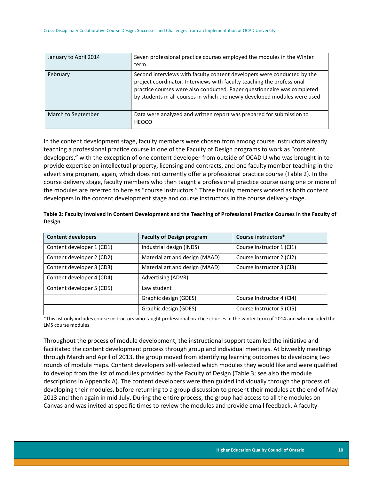| January to April 2014 | Seven professional practice courses employed the modules in the Winter<br>term                                                                                                                                                                                                                            |
|-----------------------|-----------------------------------------------------------------------------------------------------------------------------------------------------------------------------------------------------------------------------------------------------------------------------------------------------------|
| February              | Second interviews with faculty content developers were conducted by the<br>project coordinator. Interviews with faculty teaching the professional<br>practice courses were also conducted. Paper questionnaire was completed<br>by students in all courses in which the newly developed modules were used |
| March to September    | Data were analyzed and written report was prepared for submission to<br><b>HEQCO</b>                                                                                                                                                                                                                      |

In the content development stage, faculty members were chosen from among course instructors already teaching a professional practice course in one of the Faculty of Design programs to work as "content developers," with the exception of one content developer from outside of OCAD U who was brought in to provide expertise on intellectual property, licensing and contracts, and one faculty member teaching in the advertising program, again, which does not currently offer a professional practice course (Table 2). In the course delivery stage, faculty members who then taught a professional practice course using one or more of the modules are referred to here as "course instructors." Three faculty members worked as both content developers in the content development stage and course instructors in the course delivery stage.

| <b>Content developers</b> | <b>Faculty of Design program</b> | Course instructors*       |
|---------------------------|----------------------------------|---------------------------|
| Content developer 1 (CD1) | Industrial design (INDS)         | Course instructor 1 (CI1) |
| Content developer 2 (CD2) | Material art and design (MAAD)   | Course instructor 2 (CI2) |
| Content developer 3 (CD3) | Material art and design (MAAD)   | Course instructor 3 (CI3) |
| Content developer 4 (CD4) | Advertising (ADVR)               |                           |
| Content developer 5 (CD5) | Law student                      |                           |
|                           | Graphic design (GDES)            | Course Instructor 4 (CI4) |
|                           | Graphic design (GDES)            | Course Instructor 5 (CI5) |

<span id="page-10-0"></span>**Table 2: Faculty Involved in Content Development and the Teaching of Professional Practice Courses in the Faculty of Design**

\*This list only includes course instructors who taught professional practice courses in the winter term of 2014 and who included the LMS course modules

Throughout the process of module development, the instructional support team led the initiative and facilitated the content development process through group and individual meetings. At biweekly meetings through March and April of 2013, the group moved from identifying learning outcomes to developing two rounds of module maps. Content developers self-selected which modules they would like and were qualified to develop from the list of modules provided by the Faculty of Design (Table 3; see also the module descriptions in Appendix A). The content developers were then guided individually through the process of developing their modules, before returning to a group discussion to present their modules at the end of May 2013 and then again in mid-July. During the entire process, the group had access to all the modules on Canvas and was invited at specific times to review the modules and provide email feedback. A faculty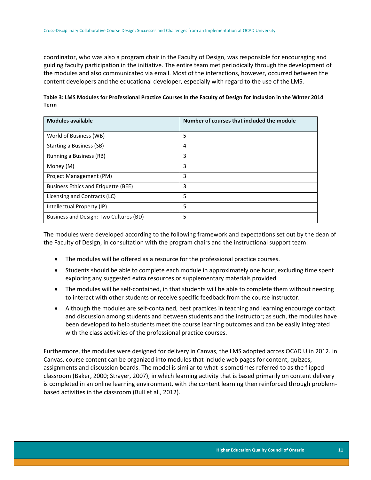coordinator, who was also a program chair in the Faculty of Design, was responsible for encouraging and guiding faculty participation in the initiative. The entire team met periodically through the development of the modules and also communicated via email. Most of the interactions, however, occurred between the content developers and the educational developer, especially with regard to the use of the LMS.

<span id="page-11-0"></span>

| Table 3: LMS Modules for Professional Practice Courses in the Faculty of Design for Inclusion in the Winter 2014 |
|------------------------------------------------------------------------------------------------------------------|
| <b>Term</b>                                                                                                      |

| <b>Modules available</b>               | Number of courses that included the module |
|----------------------------------------|--------------------------------------------|
| World of Business (WB)                 | 5                                          |
| Starting a Business (SB)               | 4                                          |
| Running a Business (RB)                | 3                                          |
| Money (M)                              | 3                                          |
| Project Management (PM)                | 3                                          |
| Business Ethics and Etiquette (BEE)    | 3                                          |
| Licensing and Contracts (LC)           | 5                                          |
| Intellectual Property (IP)             | 5                                          |
| Business and Design: Two Cultures (BD) | 5                                          |

The modules were developed according to the following framework and expectations set out by the dean of the Faculty of Design, in consultation with the program chairs and the instructional support team:

- The modules will be offered as a resource for the professional practice courses.
- Students should be able to complete each module in approximately one hour, excluding time spent exploring any suggested extra resources or supplementary materials provided.
- The modules will be self-contained, in that students will be able to complete them without needing to interact with other students or receive specific feedback from the course instructor.
- Although the modules are self-contained, best practices in teaching and learning encourage contact and discussion among students and between students and the instructor; as such, the modules have been developed to help students meet the course learning outcomes and can be easily integrated with the class activities of the professional practice courses.

Furthermore, the modules were designed for delivery in Canvas, the LMS adopted across OCAD U in 2012. In Canvas, course content can be organized into modules that include web pages for content, quizzes, assignments and discussion boards. The model is similar to what is sometimes referred to as the flipped classroom (Baker, 2000; Strayer, 2007), in which learning activity that is based primarily on content delivery is completed in an online learning environment, with the content learning then reinforced through problembased activities in the classroom (Bull et al., 2012).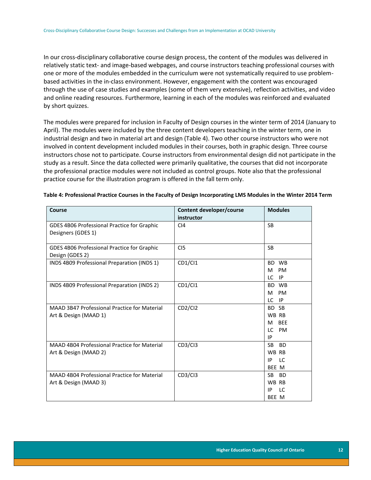In our cross-disciplinary collaborative course design process, the content of the modules was delivered in relatively static text- and image-based webpages, and course instructors teaching professional courses with one or more of the modules embedded in the curriculum were not systematically required to use problembased activities in the in-class environment. However, engagement with the content was encouraged through the use of case studies and examples (some of them very extensive), reflection activities, and video and online reading resources. Furthermore, learning in each of the modules was reinforced and evaluated by short quizzes.

The modules were prepared for inclusion in Faculty of Design courses in the winter term of 2014 (January to April). The modules were included by the three content developers teaching in the winter term, one in industrial design and two in material art and design (Table 4). Two other course instructors who were not involved in content development included modules in their courses, both in graphic design. Three course instructors chose not to participate. Course instructors from environmental design did not participate in the study as a result. Since the data collected were primarily qualitative, the courses that did not incorporate the professional practice modules were not included as control groups. Note also that the professional practice course for the illustration program is offered in the fall term only.

| Course                                              | Content developer/course         | <b>Modules</b>   |
|-----------------------------------------------------|----------------------------------|------------------|
|                                                     | instructor                       |                  |
| GDES 4B06 Professional Practice for Graphic         | C <sub>14</sub>                  | <b>SB</b>        |
| Designers (GDES 1)                                  |                                  |                  |
|                                                     |                                  |                  |
| GDES 4B06 Professional Practice for Graphic         | CI <sub>5</sub>                  | <b>SB</b>        |
| Design (GDES 2)                                     |                                  |                  |
| INDS 4B09 Professional Preparation (INDS 1)         | CD1/CI1                          | BD WB            |
|                                                     |                                  | <b>PM</b><br>м   |
|                                                     |                                  | IP<br>LC.        |
| INDS 4B09 Professional Preparation (INDS 2)         | CD1/CI1                          | <b>WB</b><br>BD. |
|                                                     |                                  | <b>PM</b><br>м   |
|                                                     |                                  | LC<br>IP         |
| <b>MAAD 3B47 Professional Practice for Material</b> | CD <sub>2</sub> /Cl <sub>2</sub> | <b>SB</b><br>BD. |
| Art & Design (MAAD 1)                               |                                  | WB RB            |
|                                                     |                                  | <b>BEE</b><br>м  |
|                                                     |                                  | LC.<br>PM        |
|                                                     |                                  | IP               |
| MAAD 4B04 Professional Practice for Material        | CD3/Cl3                          | SB.<br><b>BD</b> |
| Art & Design (MAAD 2)                               |                                  | WB RB            |
|                                                     |                                  | LC.<br>IP        |
|                                                     |                                  | BEE M            |
| MAAD 4B04 Professional Practice for Material        | CD3/Cl3                          | <b>BD</b><br>SB. |
| Art & Design (MAAD 3)                               |                                  | WB RB            |
|                                                     |                                  | LC<br>ΙP         |
|                                                     |                                  | BEE M            |

#### <span id="page-12-0"></span>**Table 4: Professional Practice Courses in the Faculty of Design Incorporating LMS Modules in the Winter 2014 Term**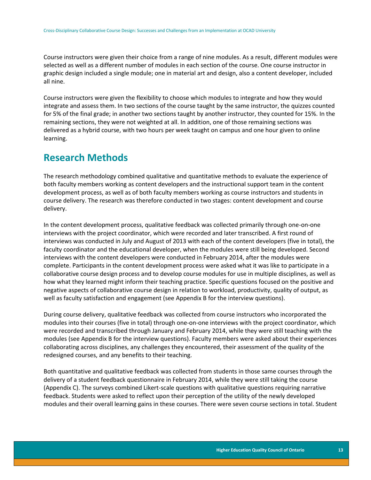Course instructors were given their choice from a range of nine modules. As a result, different modules were selected as well as a different number of modules in each section of the course. One course instructor in graphic design included a single module; one in material art and design, also a content developer, included all nine.

Course instructors were given the flexibility to choose which modules to integrate and how they would integrate and assess them. In two sections of the course taught by the same instructor, the quizzes counted for 5% of the final grade; in another two sections taught by another instructor, they counted for 15%. In the remaining sections, they were not weighted at all. In addition, one of those remaining sections was delivered as a hybrid course, with two hours per week taught on campus and one hour given to online learning.

## <span id="page-13-0"></span>**Research Methods**

The research methodology combined qualitative and quantitative methods to evaluate the experience of both faculty members working as content developers and the instructional support team in the content development process, as well as of both faculty members working as course instructors and students in course delivery. The research was therefore conducted in two stages: content development and course delivery.

In the content development process, qualitative feedback was collected primarily through one-on-one interviews with the project coordinator, which were recorded and later transcribed. A first round of interviews was conducted in July and August of 2013 with each of the content developers (five in total), the faculty coordinator and the educational developer, when the modules were still being developed. Second interviews with the content developers were conducted in February 2014, after the modules were complete. Participants in the content development process were asked what it was like to participate in a collaborative course design process and to develop course modules for use in multiple disciplines, as well as how what they learned might inform their teaching practice. Specific questions focused on the positive and negative aspects of collaborative course design in relation to workload, productivity, quality of output, as well as faculty satisfaction and engagement (see Appendix B for the interview questions).

During course delivery, qualitative feedback was collected from course instructors who incorporated the modules into their courses (five in total) through one-on-one interviews with the project coordinator, which were recorded and transcribed through January and February 2014, while they were still teaching with the modules (see Appendix B for the interview questions). Faculty members were asked about their experiences collaborating across disciplines, any challenges they encountered, their assessment of the quality of the redesigned courses, and any benefits to their teaching.

Both quantitative and qualitative feedback was collected from students in those same courses through the delivery of a student feedback questionnaire in February 2014, while they were still taking the course (Appendix C). The surveys combined Likert-scale questions with qualitative questions requiring narrative feedback. Students were asked to reflect upon their perception of the utility of the newly developed modules and their overall learning gains in these courses. There were seven course sections in total. Student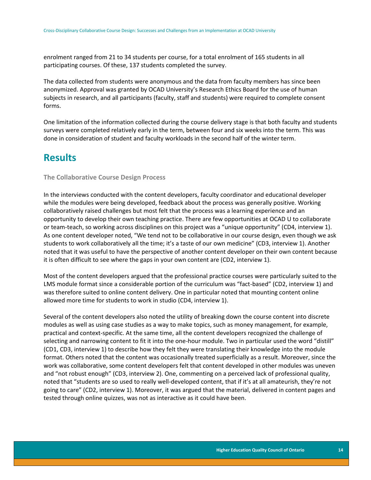enrolment ranged from 21 to 34 students per course, for a total enrolment of 165 students in all participating courses. Of these, 137 students completed the survey.

The data collected from students were anonymous and the data from faculty members has since been anonymized. Approval was granted by OCAD University's Research Ethics Board for the use of human subjects in research, and all participants (faculty, staff and students) were required to complete consent forms.

One limitation of the information collected during the course delivery stage is that both faculty and students surveys were completed relatively early in the term, between four and six weeks into the term. This was done in consideration of student and faculty workloads in the second half of the winter term.

### <span id="page-14-0"></span>**Results**

### <span id="page-14-1"></span>**The Collaborative Course Design Process**

In the interviews conducted with the content developers, faculty coordinator and educational developer while the modules were being developed, feedback about the process was generally positive. Working collaboratively raised challenges but most felt that the process was a learning experience and an opportunity to develop their own teaching practice. There are few opportunities at OCAD U to collaborate or team-teach, so working across disciplines on this project was a "unique opportunity" (CD4, interview 1). As one content developer noted, "We tend not to be collaborative in our course design, even though we ask students to work collaboratively all the time; it's a taste of our own medicine" (CD3, interview 1). Another noted that it was useful to have the perspective of another content developer on their own content because it is often difficult to see where the gaps in your own content are (CD2, interview 1).

Most of the content developers argued that the professional practice courses were particularly suited to the LMS module format since a considerable portion of the curriculum was "fact-based" (CD2, interview 1) and was therefore suited to online content delivery. One in particular noted that mounting content online allowed more time for students to work in studio (CD4, interview 1).

Several of the content developers also noted the utility of breaking down the course content into discrete modules as well as using case studies as a way to make topics, such as money management, for example, practical and context-specific. At the same time, all the content developers recognized the challenge of selecting and narrowing content to fit it into the one-hour module. Two in particular used the word "distill" (CD1, CD3, interview 1) to describe how they felt they were translating their knowledge into the module format. Others noted that the content was occasionally treated superficially as a result. Moreover, since the work was collaborative, some content developers felt that content developed in other modules was uneven and "not robust enough" (CD3, interview 2). One, commenting on a perceived lack of professional quality, noted that "students are so used to really well-developed content, that if it's at all amateurish, they're not going to care" (CD2, interview 1). Moreover, it was argued that the material, delivered in content pages and tested through online quizzes, was not as interactive as it could have been.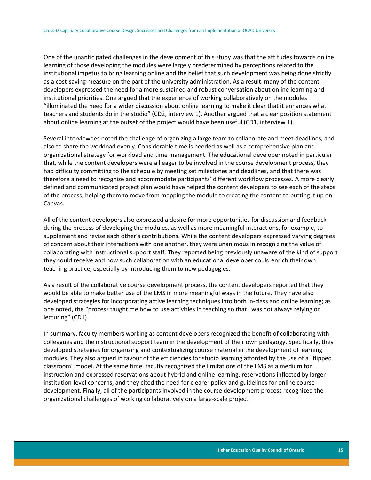One of the unanticipated challenges in the development of this study was that the attitudes towards online learning of those developing the modules were largely predetermined by perceptions related to the institutional impetus to bring learning online and the belief that such development was being done strictly as a cost-saving measure on the part of the university administration. As a result, many of the content developers expressed the need for a more sustained and robust conversation about online learning and institutional priorities. One argued that the experience of working collaboratively on the modules "illuminated the need for a wider discussion about online learning to make it clear that it enhances what teachers and students do in the studio" (CD2, interview 1). Another argued that a clear position statement about online learning at the outset of the project would have been useful (CD1, interview 1).

Several interviewees noted the challenge of organizing a large team to collaborate and meet deadlines, and also to share the workload evenly. Considerable time is needed as well as a comprehensive plan and organizational strategy for workload and time management. The educational developer noted in particular that, while the content developers were all eager to be involved in the course development process, they had difficulty committing to the schedule by meeting set milestones and deadlines, and that there was therefore a need to recognize and accommodate participants' different workflow processes. A more clearly defined and communicated project plan would have helped the content developers to see each of the steps of the process, helping them to move from mapping the module to creating the content to putting it up on Canvas.

All of the content developers also expressed a desire for more opportunities for discussion and feedback during the process of developing the modules, as well as more meaningful interactions, for example, to supplement and revise each other's contributions. While the content developers expressed varying degrees of concern about their interactions with one another, they were unanimous in recognizing the value of collaborating with instructional support staff. They reported being previously unaware of the kind of support they could receive and how such collaboration with an educational developer could enrich their own teaching practice, especially by introducing them to new pedagogies.

As a result of the collaborative course development process, the content developers reported that they would be able to make better use of the LMS in more meaningful ways in the future. They have also developed strategies for incorporating active learning techniques into both in-class and online learning; as one noted, the "process taught me how to use activities in teaching so that I was not always relying on lecturing" (CD1).

In summary, faculty members working as content developers recognized the benefit of collaborating with colleagues and the instructional support team in the development of their own pedagogy. Specifically, they developed strategies for organizing and contextualizing course material in the development of learning modules. They also argued in favour of the efficiencies for studio learning afforded by the use of a "flipped classroom" model. At the same time, faculty recognized the limitations of the LMS as a medium for instruction and expressed reservations about hybrid and online learning, reservations inflected by larger institution-level concerns, and they cited the need for clearer policy and guidelines for online course development. Finally, all of the participants involved in the course development process recognized the organizational challenges of working collaboratively on a large-scale project.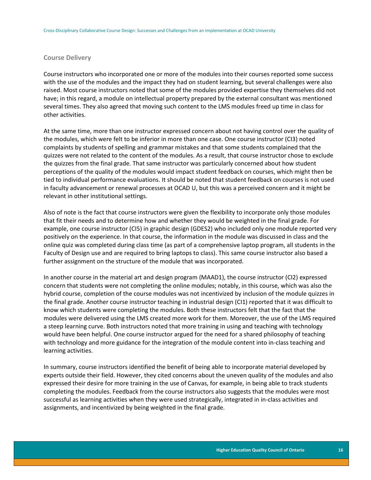#### <span id="page-16-0"></span>**Course Delivery**

Course instructors who incorporated one or more of the modules into their courses reported some success with the use of the modules and the impact they had on student learning, but several challenges were also raised. Most course instructors noted that some of the modules provided expertise they themselves did not have; in this regard, a module on intellectual property prepared by the external consultant was mentioned several times. They also agreed that moving such content to the LMS modules freed up time in class for other activities.

At the same time, more than one instructor expressed concern about not having control over the quality of the modules, which were felt to be inferior in more than one case. One course instructor (CI3) noted complaints by students of spelling and grammar mistakes and that some students complained that the quizzes were not related to the content of the modules. As a result, that course instructor chose to exclude the quizzes from the final grade. That same instructor was particularly concerned about how student perceptions of the quality of the modules would impact student feedback on courses, which might then be tied to individual performance evaluations. It should be noted that student feedback on courses is not used in faculty advancement or renewal processes at OCAD U, but this was a perceived concern and it might be relevant in other institutional settings.

Also of note is the fact that course instructors were given the flexibility to incorporate only those modules that fit their needs and to determine how and whether they would be weighted in the final grade. For example, one course instructor (CI5) in graphic design (GDES2) who included only one module reported very positively on the experience. In that course, the information in the module was discussed in class and the online quiz was completed during class time (as part of a comprehensive laptop program, all students in the Faculty of Design use and are required to bring laptops to class). This same course instructor also based a further assignment on the structure of the module that was incorporated.

In another course in the material art and design program (MAAD1), the course instructor (CI2) expressed concern that students were not completing the online modules; notably, in this course, which was also the hybrid course, completion of the course modules was not incentivized by inclusion of the module quizzes in the final grade. Another course instructor teaching in industrial design (CI1) reported that it was difficult to know which students were completing the modules. Both these instructors felt that the fact that the modules were delivered using the LMS created more work for them. Moreover, the use of the LMS required a steep learning curve. Both instructors noted that more training in using and teaching with technology would have been helpful. One course instructor argued for the need for a shared philosophy of teaching with technology and more guidance for the integration of the module content into in-class teaching and learning activities.

In summary, course instructors identified the benefit of being able to incorporate material developed by experts outside their field. However, they cited concerns about the uneven quality of the modules and also expressed their desire for more training in the use of Canvas, for example, in being able to track students completing the modules. Feedback from the course instructors also suggests that the modules were most successful as learning activities when they were used strategically, integrated in in-class activities and assignments, and incentivized by being weighted in the final grade.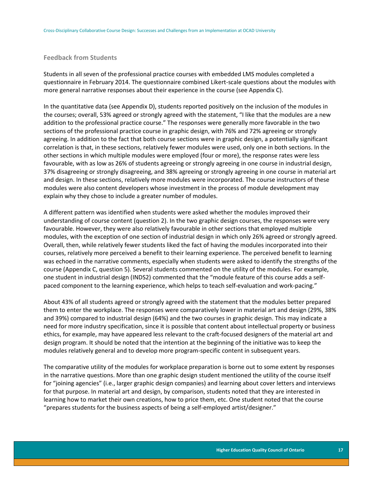### <span id="page-17-0"></span>**Feedback from Students**

Students in all seven of the professional practice courses with embedded LMS modules completed a questionnaire in February 2014. The questionnaire combined Likert-scale questions about the modules with more general narrative responses about their experience in the course (see Appendix C).

In the quantitative data (see Appendix D), students reported positively on the inclusion of the modules in the courses; overall, 53% agreed or strongly agreed with the statement, "I like that the modules are a new addition to the professional practice course." The responses were generally more favorable in the two sections of the professional practice course in graphic design, with 76% and 72% agreeing or strongly agreeing. In addition to the fact that both course sections were in graphic design, a potentially significant correlation is that, in these sections, relatively fewer modules were used, only one in both sections. In the other sections in which multiple modules were employed (four or more), the response rates were less favourable, with as low as 26% of students agreeing or strongly agreeing in one course in industrial design, 37% disagreeing or strongly disagreeing, and 38% agreeing or strongly agreeing in one course in material art and design. In these sections, relatively more modules were incorporated. The course instructors of these modules were also content developers whose investment in the process of module development may explain why they chose to include a greater number of modules.

A different pattern was identified when students were asked whether the modules improved their understanding of course content (question 2). In the two graphic design courses, the responses were very favourable. However, they were also relatively favourable in other sections that employed multiple modules, with the exception of one section of industrial design in which only 26% agreed or strongly agreed. Overall, then, while relatively fewer students liked the fact of having the modules incorporated into their courses, relatively more perceived a benefit to their learning experience. The perceived benefit to learning was echoed in the narrative comments, especially when students were asked to identify the strengths of the course (Appendix C, question 5). Several students commented on the utility of the modules. For example, one student in industrial design (INDS2) commented that the "module feature of this course adds a selfpaced component to the learning experience, which helps to teach self-evaluation and work-pacing."

About 43% of all students agreed or strongly agreed with the statement that the modules better prepared them to enter the workplace. The responses were comparatively lower in material art and design (29%, 38% and 39%) compared to industrial design (64%) and the two courses in graphic design. This may indicate a need for more industry specification, since it is possible that content about intellectual property or business ethics, for example, may have appeared less relevant to the craft-focused designers of the material art and design program. It should be noted that the intention at the beginning of the initiative was to keep the modules relatively general and to develop more program-specific content in subsequent years.

The comparative utility of the modules for workplace preparation is borne out to some extent by responses in the narrative questions. More than one graphic design student mentioned the utility of the course itself for "joining agencies" (i.e., larger graphic design companies) and learning about cover letters and interviews for that purpose. In material art and design, by comparison, students noted that they are interested in learning how to market their own creations, how to price them, etc. One student noted that the course "prepares students for the business aspects of being a self-employed artist/designer."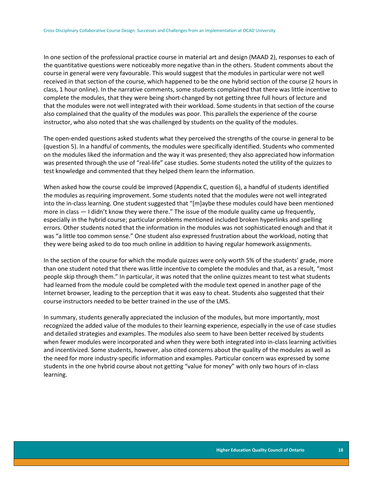In one section of the professional practice course in material art and design (MAAD 2), responses to each of the quantitative questions were noticeably more negative than in the others. Student comments about the course in general were very favourable. This would suggest that the modules in particular were not well received in that section of the course, which happened to be the one hybrid section of the course (2 hours in class, 1 hour online). In the narrative comments, some students complained that there was little incentive to complete the modules, that they were being short-changed by not getting three full hours of lecture and that the modules were not well integrated with their workload. Some students in that section of the course also complained that the quality of the modules was poor. This parallels the experience of the course instructor, who also noted that she was challenged by students on the quality of the modules.

The open-ended questions asked students what they perceived the strengths of the course in general to be (question 5). In a handful of comments, the modules were specifically identified. Students who commented on the modules liked the information and the way it was presented; they also appreciated how information was presented through the use of "real-life" case studies. Some students noted the utility of the quizzes to test knowledge and commented that they helped them learn the information.

When asked how the course could be improved (Appendix C, question 6), a handful of students identified the modules as requiring improvement. Some students noted that the modules were not well integrated into the in-class learning. One student suggested that "[m]aybe these modules could have been mentioned more in class — I didn't know they were there." The issue of the module quality came up frequently, especially in the hybrid course; particular problems mentioned included broken hyperlinks and spelling errors. Other students noted that the information in the modules was not sophisticated enough and that it was "a little too common sense." One student also expressed frustration about the workload, noting that they were being asked to do too much online in addition to having regular homework assignments.

In the section of the course for which the module quizzes were only worth 5% of the students' grade, more than one student noted that there was little incentive to complete the modules and that, as a result, "most people skip through them." In particular, it was noted that the online quizzes meant to test what students had learned from the module could be completed with the module text opened in another page of the Internet browser, leading to the perception that it was easy to cheat. Students also suggested that their course instructors needed to be better trained in the use of the LMS.

In summary, students generally appreciated the inclusion of the modules, but more importantly, most recognized the added value of the modules to their learning experience, especially in the use of case studies and detailed strategies and examples. The modules also seem to have been better received by students when fewer modules were incorporated and when they were both integrated into in-class learning activities and incentivized. Some students, however, also cited concerns about the quality of the modules as well as the need for more industry-specific information and examples. Particular concern was expressed by some students in the one hybrid course about not getting "value for money" with only two hours of in-class learning.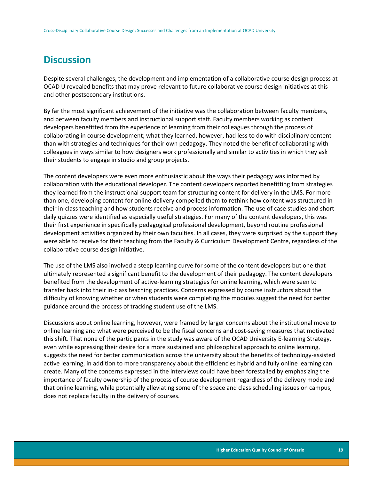### <span id="page-19-0"></span>**Discussion**

Despite several challenges, the development and implementation of a collaborative course design process at OCAD U revealed benefits that may prove relevant to future collaborative course design initiatives at this and other postsecondary institutions.

By far the most significant achievement of the initiative was the collaboration between faculty members, and between faculty members and instructional support staff. Faculty members working as content developers benefitted from the experience of learning from their colleagues through the process of collaborating in course development; what they learned, however, had less to do with disciplinary content than with strategies and techniques for their own pedagogy. They noted the benefit of collaborating with colleagues in ways similar to how designers work professionally and similar to activities in which they ask their students to engage in studio and group projects.

The content developers were even more enthusiastic about the ways their pedagogy was informed by collaboration with the educational developer. The content developers reported benefitting from strategies they learned from the instructional support team for structuring content for delivery in the LMS. For more than one, developing content for online delivery compelled them to rethink how content was structured in their in-class teaching and how students receive and process information. The use of case studies and short daily quizzes were identified as especially useful strategies. For many of the content developers, this was their first experience in specifically pedagogical professional development, beyond routine professional development activities organized by their own faculties. In all cases, they were surprised by the support they were able to receive for their teaching from the Faculty & Curriculum Development Centre, regardless of the collaborative course design initiative.

The use of the LMS also involved a steep learning curve for some of the content developers but one that ultimately represented a significant benefit to the development of their pedagogy. The content developers benefited from the development of active-learning strategies for online learning, which were seen to transfer back into their in-class teaching practices. Concerns expressed by course instructors about the difficulty of knowing whether or when students were completing the modules suggest the need for better guidance around the process of tracking student use of the LMS.

Discussions about online learning, however, were framed by larger concerns about the institutional move to online learning and what were perceived to be the fiscal concerns and cost-saving measures that motivated this shift. That none of the participants in the study was aware of the OCAD University E-learning Strategy, even while expressing their desire for a more sustained and philosophical approach to online learning, suggests the need for better communication across the university about the benefits of technology-assisted active learning, in addition to more transparency about the efficiencies hybrid and fully online learning can create. Many of the concerns expressed in the interviews could have been forestalled by emphasizing the importance of faculty ownership of the process of course development regardless of the delivery mode and that online learning, while potentially alleviating some of the space and class scheduling issues on campus, does not replace faculty in the delivery of courses.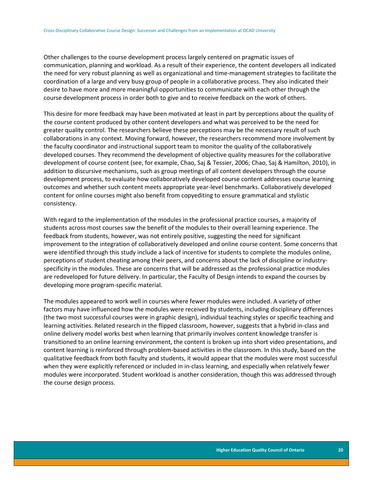Other challenges to the course development process largely centered on pragmatic issues of communication, planning and workload. As a result of their experience, the content developers all indicated the need for very robust planning as well as organizational and time-management strategies to facilitate the coordination of a large and very busy group of people in a collaborative process. They also indicated their desire to have more and more meaningful opportunities to communicate with each other through the course development process in order both to give and to receive feedback on the work of others.

This desire for more feedback may have been motivated at least in part by perceptions about the quality of the course content produced by other content developers and what was perceived to be the need for greater quality control. The researchers believe these perceptions may be the necessary result of such collaborations in any context. Moving forward, however, the researchers recommend more involvement by the faculty coordinator and instructional support team to monitor the quality of the collaboratively developed courses. They recommend the development of objective quality measures for the collaborative development of course content (see, for example, Chao, Saj & Tessier, 2006; Chao, Saj & Hamilton, 2010), in addition to discursive mechanisms, such as group meetings of all content developers through the course development process, to evaluate how collaboratively developed course content addresses course learning outcomes and whether such content meets appropriate year-level benchmarks. Collaboratively developed content for online courses might also benefit from copyediting to ensure grammatical and stylistic consistency.

With regard to the implementation of the modules in the professional practice courses, a majority of students across most courses saw the benefit of the modules to their overall learning experience. The feedback from students, however, was not entirely positive, suggesting the need for significant improvement to the integration of collaboratively developed and online course content. Some concerns that were identified through this study include a lack of incentive for students to complete the modules online, perceptions of student cheating among their peers, and concerns about the lack of discipline or industryspecificity in the modules. These are concerns that will be addressed as the professional practice modules are redeveloped for future delivery. In particular, the Faculty of Design intends to expand the courses by developing more program-specific material.

The modules appeared to work well in courses where fewer modules were included. A variety of other factors may have influenced how the modules were received by students, including disciplinary differences (the two most successful courses were in graphic design), individual teaching styles or specific teaching and learning activities. Related research in the flipped classroom, however, suggests that a hybrid in-class and online delivery model works best when learning that primarily involves content knowledge transfer is transitioned to an online learning environment, the content is broken up into short video presentations, and content learning is reinforced through problem-based activities in the classroom. In this study, based on the qualitative feedback from both faculty and students, it would appear that the modules were most successful when they were explicitly referenced or included in in-class learning, and especially when relatively fewer modules were incorporated. Student workload is another consideration, though this was addressed through the course design process.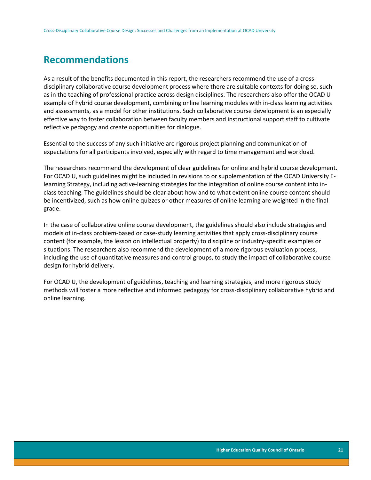### <span id="page-21-0"></span>**Recommendations**

As a result of the benefits documented in this report, the researchers recommend the use of a crossdisciplinary collaborative course development process where there are suitable contexts for doing so, such as in the teaching of professional practice across design disciplines. The researchers also offer the OCAD U example of hybrid course development, combining online learning modules with in-class learning activities and assessments, as a model for other institutions. Such collaborative course development is an especially effective way to foster collaboration between faculty members and instructional support staff to cultivate reflective pedagogy and create opportunities for dialogue.

Essential to the success of any such initiative are rigorous project planning and communication of expectations for all participants involved, especially with regard to time management and workload.

The researchers recommend the development of clear guidelines for online and hybrid course development. For OCAD U, such guidelines might be included in revisions to or supplementation of the OCAD University Elearning Strategy, including active-learning strategies for the integration of online course content into inclass teaching. The guidelines should be clear about how and to what extent online course content should be incentivized, such as how online quizzes or other measures of online learning are weighted in the final grade.

In the case of collaborative online course development, the guidelines should also include strategies and models of in-class problem-based or case-study learning activities that apply cross-disciplinary course content (for example, the lesson on intellectual property) to discipline or industry-specific examples or situations. The researchers also recommend the development of a more rigorous evaluation process, including the use of quantitative measures and control groups, to study the impact of collaborative course design for hybrid delivery.

For OCAD U, the development of guidelines, teaching and learning strategies, and more rigorous study methods will foster a more reflective and informed pedagogy for cross-disciplinary collaborative hybrid and online learning.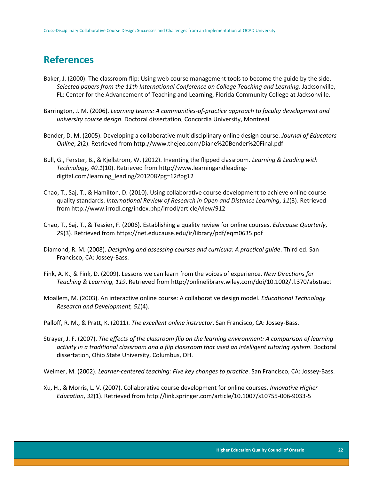## <span id="page-22-0"></span>**References**

- Baker, J. (2000). The classroom flip: Using web course management tools to become the guide by the side. *Selected papers from the 11th International Conference on College Teaching and Learning*. Jacksonville, FL: Center for the Advancement of Teaching and Learning, Florida Community College at Jacksonville.
- Barrington, J. M. (2006). *Learning teams: A communities-of-practice approach to faculty development and university course design*. Doctoral dissertation, Concordia University, Montreal.
- Bender, D. M. (2005). Developing a collaborative multidisciplinary online design course. *Journal of Educators Online*, *2*(2). Retrieved from http://www.thejeo.com/Diane%20Bender%20Final.pdf
- Bull, G., Ferster, B., & Kjellstrom, W. (2012). Inventing the flipped classroom. *Learning & Leading with Technology, 40.1*(10). Retrieved from http://www.learningandleadingdigital.com/learning\_leading/201208?pg=12#pg12
- Chao, T., Saj, T., & Hamilton, D. (2010). Using collaborative course development to achieve online course quality standards. *International Review of Research in Open and Distance Learning*, *11*(3). Retrieved from http://www.irrodl.org/index.php/irrodl/article/view/912
- Chao, T., Saj, T., & Tessier, F. (2006). Establishing a quality review for online courses. *Educause Quarterly*, *29*(3). Retrieved from https://net.educause.edu/ir/library/pdf/eqm0635.pdf
- Diamond, R. M. (2008). *Designing and assessing courses and curricula: A practical guide*. Third ed. San Francisco, CA: Jossey-Bass.
- Fink, A. K., & Fink, D. (2009). Lessons we can learn from the voices of experience. *New Directions for Teaching & Learning, 119*. Retrieved from http://onlinelibrary.wiley.com/doi/10.1002/tl.370/abstract
- Moallem, M. (2003). An interactive online course: A collaborative design model. *Educational Technology Research and Development, 51*(4).

Palloff, R. M., & Pratt, K. (2011). *The excellent online instructor*. San Francisco, CA: Jossey-Bass.

Strayer, J. F. (2007). *The effects of the classroom flip on the learning environment: A comparison of learning activity in a traditional classroom and a flip classroom that used an intelligent tutoring system*. Doctoral dissertation, Ohio State University, Columbus, OH.

Weimer, M. (2002). *Learner-centered teaching: Five key changes to practice*. San Francisco, CA: Jossey-Bass.

Xu, H., & Morris, L. V. (2007). Collaborative course development for online courses. *Innovative Higher Education*, *32*(1). Retrieved from http://link.springer.com/article/10.1007/s10755-006-9033-5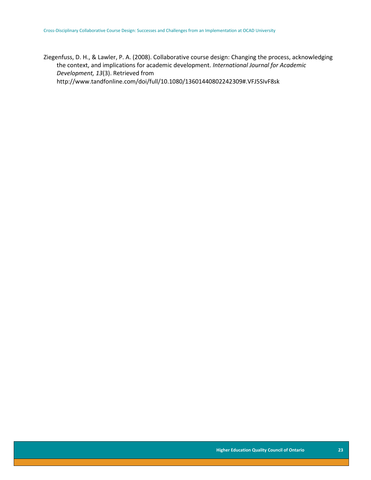Ziegenfuss, D. H., & Lawler, P. A. (2008). Collaborative course design: Changing the process, acknowledging the context, and implications for academic development. *International Journal for Academic Development, 13*(3). Retrieved from http://www.tandfonline.com/doi/full/10.1080/13601440802242309#.VFJ5SIvF8sk